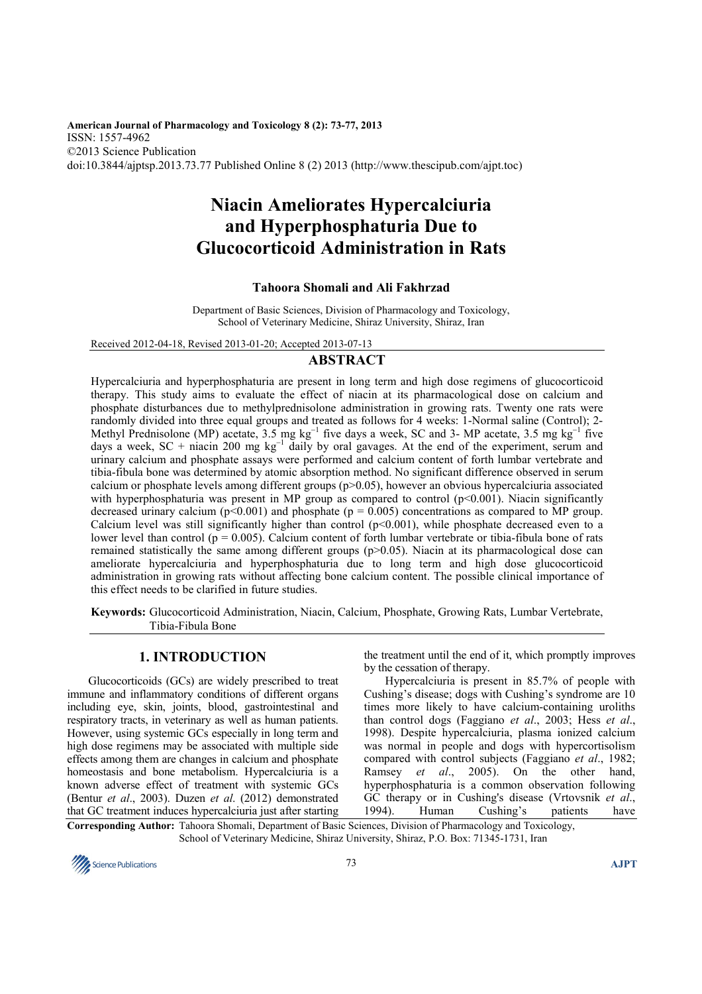**American Journal of Pharmacology and Toxicology 8 (2): 73-77, 2013**  ISSN: 1557-4962 ©2013 Science Publication doi:10.3844/ajptsp.2013.73.77 Published Online 8 (2) 2013 (http://www.thescipub.com/ajpt.toc)

# **Niacin Ameliorates Hypercalciuria and Hyperphosphaturia Due to Glucocorticoid Administration in Rats**

## **Tahoora Shomali and Ali Fakhrzad**

Department of Basic Sciences, Division of Pharmacology and Toxicology, School of Veterinary Medicine, Shiraz University, Shiraz, Iran

Received 2012-04-18, Revised 2013-01-20; Accepted 2013-07-13

## **ABSTRACT**

Hypercalciuria and hyperphosphaturia are present in long term and high dose regimens of glucocorticoid therapy. This study aims to evaluate the effect of niacin at its pharmacological dose on calcium and phosphate disturbances due to methylprednisolone administration in growing rats. Twenty one rats were randomly divided into three equal groups and treated as follows for 4 weeks: 1-Normal saline (Control); 2- Methyl Prednisolone (MP) acetate, 3.5 mg kg<sup>-1</sup> five days a week, SC and 3- MP acetate, 3.5 mg kg<sup>-1</sup> five days a week, SC + niacin 200 mg kg<sup>-1</sup> daily by oral gavages. At the end of the experiment, serum and urinary calcium and phosphate assays were performed and calcium content of forth lumbar vertebrate and tibia-fibula bone was determined by atomic absorption method. No significant difference observed in serum calcium or phosphate levels among different groups (p>0.05), however an obvious hypercalciuria associated with hyperphosphaturia was present in MP group as compared to control (p<0.001). Niacin significantly decreased urinary calcium ( $p$ <0.001) and phosphate ( $p = 0.005$ ) concentrations as compared to MP group. Calcium level was still significantly higher than control (p<0.001), while phosphate decreased even to a lower level than control ( $p = 0.005$ ). Calcium content of forth lumbar vertebrate or tibia-fibula bone of rats remained statistically the same among different groups (p>0.05). Niacin at its pharmacological dose can ameliorate hypercalciuria and hyperphosphaturia due to long term and high dose glucocorticoid administration in growing rats without affecting bone calcium content. The possible clinical importance of this effect needs to be clarified in future studies.

**Keywords:** Glucocorticoid Administration, Niacin, Calcium, Phosphate, Growing Rats, Lumbar Vertebrate, Tibia-Fibula Bone

# **1. INTRODUCTION**

 Glucocorticoids (GCs) are widely prescribed to treat immune and inflammatory conditions of different organs including eye, skin, joints, blood, gastrointestinal and respiratory tracts, in veterinary as well as human patients. However, using systemic GCs especially in long term and high dose regimens may be associated with multiple side effects among them are changes in calcium and phosphate homeostasis and bone metabolism. Hypercalciuria is a known adverse effect of treatment with systemic GCs (Bentur *et al*., 2003). Duzen *et al*. (2012) demonstrated that GC treatment induces hypercalciuria just after starting the treatment until the end of it, which promptly improves by the cessation of therapy.

 Hypercalciuria is present in 85.7% of people with Cushing's disease; dogs with Cushing's syndrome are 10 times more likely to have calcium-containing uroliths than control dogs (Faggiano *et al*., 2003; Hess *et al*., 1998). Despite hypercalciuria, plasma ionized calcium was normal in people and dogs with hypercortisolism compared with control subjects (Faggiano *et al*., 1982; Ramsey *et al*., 2005). On the other hand, hyperphosphaturia is a common observation following GC therapy or in Cushing's disease (Vrtovsnik *et al*., 1994). Human Cushing's patients have

**Corresponding Author:** Tahoora Shomali, Department of Basic Sciences, Division of Pharmacology and Toxicology, School of Veterinary Medicine, Shiraz University, Shiraz, P.O. Box: 71345-1731, Iran

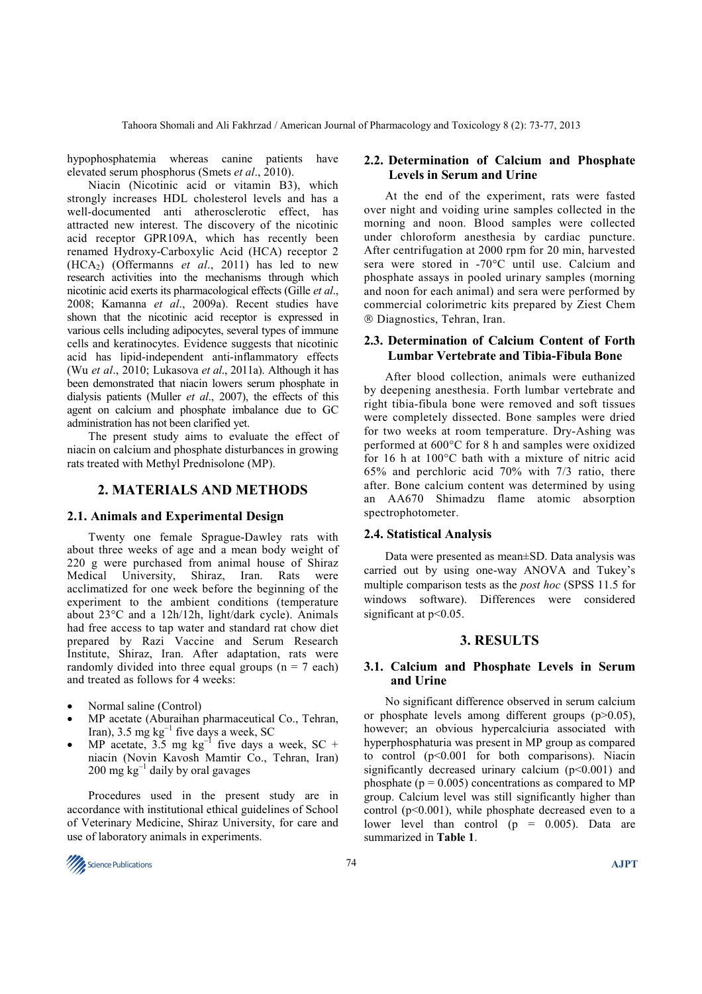hypophosphatemia whereas canine patients have elevated serum phosphorus (Smets *et al*., 2010).

 Niacin (Nicotinic acid or vitamin B3), which strongly increases HDL cholesterol levels and has a well-documented anti atherosclerotic effect, has attracted new interest. The discovery of the nicotinic acid receptor GPR109A, which has recently been renamed Hydroxy-Carboxylic Acid (HCA) receptor 2  $(HCA<sub>2</sub>)$  (Offermanns *et al.*, 2011) has led to new research activities into the mechanisms through which nicotinic acid exerts its pharmacological effects (Gille *et al*., 2008; Kamanna *et al*., 2009a). Recent studies have shown that the nicotinic acid receptor is expressed in various cells including adipocytes, several types of immune cells and keratinocytes. Evidence suggests that nicotinic acid has lipid-independent anti-inflammatory effects (Wu *et al*., 2010; Lukasova *et al*., 2011a). Although it has been demonstrated that niacin lowers serum phosphate in dialysis patients (Muller *et al*., 2007), the effects of this agent on calcium and phosphate imbalance due to GC administration has not been clarified yet.

 The present study aims to evaluate the effect of niacin on calcium and phosphate disturbances in growing rats treated with Methyl Prednisolone (MP).

#### **2. MATERIALS AND METHODS**

#### **2.1. Animals and Experimental Design**

 Twenty one female Sprague-Dawley rats with about three weeks of age and a mean body weight of 220 g were purchased from animal house of Shiraz Medical University, Shiraz, Iran. Rats were acclimatized for one week before the beginning of the experiment to the ambient conditions (temperature about 23°C and a 12h/12h, light/dark cycle). Animals had free access to tap water and standard rat chow diet prepared by Razi Vaccine and Serum Research Institute, Shiraz, Iran. After adaptation, rats were randomly divided into three equal groups  $(n = 7 \text{ each})$ and treated as follows for 4 weeks:

- Normal saline (Control)
- MP acetate (Aburaihan pharmaceutical Co., Tehran, Iran), 3.5 mg kg<sup>−</sup><sup>1</sup> five days a week, SC
- MP acetate,  $3.5 \text{ mg kg}^{-1}$  five days a week, SC + niacin (Novin Kavosh Mamtir Co., Tehran, Iran) 200 mg kg<sup>-1</sup> daily by oral gavages

 Procedures used in the present study are in accordance with institutional ethical guidelines of School of Veterinary Medicine, Shiraz University, for care and use of laboratory animals in experiments.



### **2.2. Determination of Calcium and Phosphate Levels in Serum and Urine**

 At the end of the experiment, rats were fasted over night and voiding urine samples collected in the morning and noon. Blood samples were collected under chloroform anesthesia by cardiac puncture. After centrifugation at 2000 rpm for 20 min, harvested sera were stored in -70°C until use. Calcium and phosphate assays in pooled urinary samples (morning and noon for each animal) and sera were performed by commercial colorimetric kits prepared by Ziest Chem Diagnostics, Tehran, Iran.

## **2.3. Determination of Calcium Content of Forth Lumbar Vertebrate and Tibia-Fibula Bone**

After blood collection, animals were euthanized by deepening anesthesia. Forth lumbar vertebrate and right tibia-fibula bone were removed and soft tissues were completely dissected. Bone samples were dried for two weeks at room temperature. Dry-Ashing was performed at 600°C for 8 h and samples were oxidized for 16 h at 100°C bath with a mixture of nitric acid 65% and perchloric acid 70% with 7/3 ratio, there after. Bone calcium content was determined by using an AA670 Shimadzu flame atomic absorption spectrophotometer.

#### **2.4. Statistical Analysis**

 Data were presented as mean±SD. Data analysis was carried out by using one-way ANOVA and Tukey's multiple comparison tests as the *post hoc* (SPSS 11.5 for windows software). Differences were considered significant at  $p<0.05$ .

# **3. RESULTS**

## **3.1. Calcium and Phosphate Levels in Serum and Urine**

 No significant difference observed in serum calcium or phosphate levels among different groups  $(p>0.05)$ , however; an obvious hypercalciuria associated with hyperphosphaturia was present in MP group as compared to control (p<0.001 for both comparisons). Niacin significantly decreased urinary calcium  $(p<0.001)$  and phosphate ( $p = 0.005$ ) concentrations as compared to MP group. Calcium level was still significantly higher than control  $(p<0.001)$ , while phosphate decreased even to a lower level than control  $(p = 0.005)$ . Data are summarized in **Table 1**.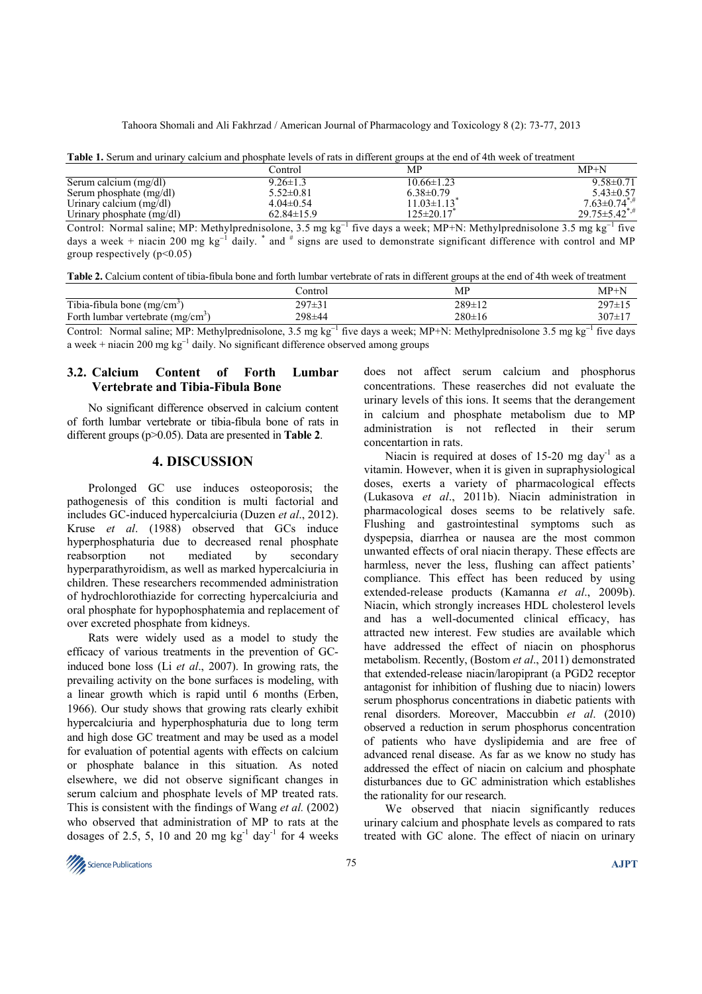Tahoora Shomali and Ali Fakhrzad / American Journal of Pharmacology and Toxicology 8 (2): 73-77, 2013

| Tapic 1. Defain and armary calendri and phosphate levels of fais in arrivedit groups at the end of Thi Week of treatment |                  |                  |                                 |  |  |
|--------------------------------------------------------------------------------------------------------------------------|------------------|------------------|---------------------------------|--|--|
|                                                                                                                          | Control          | MP               | $MP+N$                          |  |  |
| Serum calcium (mg/dl)                                                                                                    | $9.26 \pm 1.3$   | $10.66 \pm 1.23$ | $9.58 \pm 0.71$                 |  |  |
| Serum phosphate $(mg/dl)$                                                                                                | $5.52 \pm 0.81$  | $6.38 \pm 0.79$  | $5.43 \pm 0.57$                 |  |  |
| Urinary calcium $(mg/dl)$                                                                                                | $4.04\pm0.54$    | $11.03 \pm 1.13$ | $7.63 \pm 0.74$ <sup>*,#</sup>  |  |  |
| Urinary phosphate $(mg/dl)$                                                                                              | $62.84 \pm 15.9$ | $125 \pm 20.17$  | $29.75 \pm 5.42$ <sup>*,#</sup> |  |  |
|                                                                                                                          |                  |                  |                                 |  |  |

**Table 1.** Serum and urinary calcium and phosphate levels of rats in different groups at the end of 4th week of treatment

Control: Normal saline; MP: Methylprednisolone, 3.5 mg kg<sup>-1</sup> five days a week; MP+N: Methylprednisolone 3.5 mg kg<sup>-1</sup> five days a week + niacin 200 mg kg<sup>-1</sup> daily. <sup>\*</sup> and  $\#$  signs are used to demonstrate significant difference with control and MP group respectively  $(p<0.05)$ 

| Table 2. Calcium content of tibia-fibula bone and forth lumbar vertebrate of rats in different groups at the end of 4th week of treatment |
|-------------------------------------------------------------------------------------------------------------------------------------------|
|-------------------------------------------------------------------------------------------------------------------------------------------|

|                                               | ∠ontrol            | MP           | $MP+N$        |
|-----------------------------------------------|--------------------|--------------|---------------|
| Tibia-fibula bone $(mg/cm3)$                  | $207 + 21$         | $289 \pm 12$ | $297 \pm 15$  |
| Forth lumbar vertebrate (mg/cm <sup>3</sup> ) | 298±44             | $280 \pm 16$ | $307 \pm 1$   |
| the property of the con-<br>_____<br>_____    | $\sim$<br>.<br>___ | .            | $\sim$<br>___ |

Control: Normal saline; MP: Methylprednisolone, 3.5 mg kg<sup>-1</sup> five days a week; MP+N: Methylprednisolone 3.5 mg kg<sup>-1</sup> five days a week + niacin 200 mg kg<sup>−</sup><sup>1</sup> daily. No significant difference observed among groups

## **3.2. Calcium Content of Forth Lumbar Vertebrate and Tibia-Fibula Bone**

No significant difference observed in calcium content of forth lumbar vertebrate or tibia-fibula bone of rats in different groups (p>0.05). Data are presented in **Table 2**.

## **4. DISCUSSION**

 Prolonged GC use induces osteoporosis; the pathogenesis of this condition is multi factorial and includes GC-induced hypercalciuria (Duzen *et al*., 2012). Kruse *et al*. (1988) observed that GCs induce hyperphosphaturia due to decreased renal phosphate reabsorption not mediated by secondary hyperparathyroidism, as well as marked hypercalciuria in children. These researchers recommended administration of hydrochlorothiazide for correcting hypercalciuria and oral phosphate for hypophosphatemia and replacement of over excreted phosphate from kidneys.

 Rats were widely used as a model to study the efficacy of various treatments in the prevention of GCinduced bone loss (Li *et al*., 2007). In growing rats, the prevailing activity on the bone surfaces is modeling, with a linear growth which is rapid until 6 months (Erben, 1966). Our study shows that growing rats clearly exhibit hypercalciuria and hyperphosphaturia due to long term and high dose GC treatment and may be used as a model for evaluation of potential agents with effects on calcium or phosphate balance in this situation. As noted elsewhere, we did not observe significant changes in serum calcium and phosphate levels of MP treated rats. This is consistent with the findings of Wang *et al.* (2002) who observed that administration of MP to rats at the dosages of 2.5, 5, 10 and 20 mg  $kg^{-1}$  day<sup>-1</sup> for 4 weeks

does not affect serum calcium and phosphorus concentrations. These reaserches did not evaluate the urinary levels of this ions. It seems that the derangement in calcium and phosphate metabolism due to MP administration is not reflected in their serum concentartion in rats.

Niacin is required at doses of  $15{\text -}20$  mg day<sup>-1</sup> as a vitamin. However, when it is given in supraphysiological doses, exerts a variety of pharmacological effects (Lukasova *et al*., 2011b). Niacin administration in pharmacological doses seems to be relatively safe. Flushing and gastrointestinal symptoms such as dyspepsia, diarrhea or nausea are the most common unwanted effects of oral niacin therapy. These effects are harmless, never the less, flushing can affect patients' compliance. This effect has been reduced by using extended-release products (Kamanna *et al*., 2009b). Niacin, which strongly increases HDL cholesterol levels and has a well-documented clinical efficacy, has attracted new interest. Few studies are available which have addressed the effect of niacin on phosphorus metabolism. Recently, (Bostom *et al*., 2011) demonstrated that extended-release niacin/laropiprant (a PGD2 receptor antagonist for inhibition of flushing due to niacin) lowers serum phosphorus concentrations in diabetic patients with renal disorders. Moreover, Maccubbin *et al*. (2010) observed a reduction in serum phosphorus concentration of patients who have dyslipidemia and are free of advanced renal disease. As far as we know no study has addressed the effect of niacin on calcium and phosphate disturbances due to GC administration which establishes the rationality for our research.

 We observed that niacin significantly reduces urinary calcium and phosphate levels as compared to rats treated with GC alone. The effect of niacin on urinary

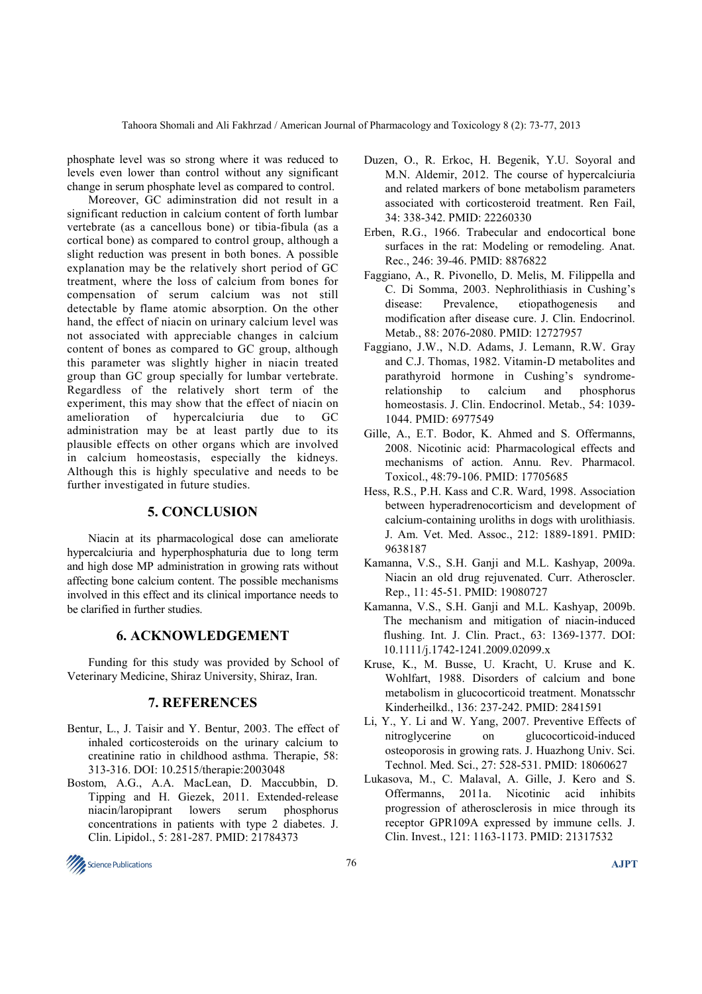phosphate level was so strong where it was reduced to levels even lower than control without any significant change in serum phosphate level as compared to control.

 Moreover, GC adiminstration did not result in a significant reduction in calcium content of forth lumbar vertebrate (as a cancellous bone) or tibia-fibula (as a cortical bone) as compared to control group, although a slight reduction was present in both bones. A possible explanation may be the relatively short period of GC treatment, where the loss of calcium from bones for compensation of serum calcium was not still detectable by flame atomic absorption. On the other hand, the effect of niacin on urinary calcium level was not associated with appreciable changes in calcium content of bones as compared to GC group, although this parameter was slightly higher in niacin treated group than GC group specially for lumbar vertebrate. Regardless of the relatively short term of the experiment, this may show that the effect of niacin on amelioration of hypercalciuria due to GC administration may be at least partly due to its plausible effects on other organs which are involved in calcium homeostasis, especially the kidneys. Although this is highly speculative and needs to be further investigated in future studies.

# **5. CONCLUSION**

 Niacin at its pharmacological dose can ameliorate hypercalciuria and hyperphosphaturia due to long term and high dose MP administration in growing rats without affecting bone calcium content. The possible mechanisms involved in this effect and its clinical importance needs to be clarified in further studies.

## **6. ACKNOWLEDGEMENT**

 Funding for this study was provided by School of Veterinary Medicine, Shiraz University, Shiraz, Iran.

# **7. REFERENCES**

- Bentur, L., J. Taisir and Y. Bentur, 2003. The effect of inhaled corticosteroids on the urinary calcium to creatinine ratio in childhood asthma. Therapie, 58: 313-316. DOI: 10.2515/therapie:2003048
- Bostom, A.G., A.A. MacLean, D. Maccubbin, D. Tipping and H. Giezek, 2011. Extended-release niacin/laropiprant lowers serum phosphorus concentrations in patients with type 2 diabetes. J. Clin. Lipidol., 5: 281-287. PMID: 21784373
- Duzen, O., R. Erkoc, H. Begenik, Y.U. Soyoral and M.N. Aldemir, 2012. The course of hypercalciuria and related markers of bone metabolism parameters associated with corticosteroid treatment. Ren Fail, 34: 338-342. PMID: 22260330
- Erben, R.G., 1966. Trabecular and endocortical bone surfaces in the rat: Modeling or remodeling. Anat. Rec., 246: 39-46. PMID: 8876822
- Faggiano, A., R. Pivonello, D. Melis, M. Filippella and C. Di Somma, 2003. Nephrolithiasis in Cushing's disease: Prevalence, etiopathogenesis and modification after disease cure. J. Clin. Endocrinol. Metab., 88: 2076-2080. PMID: 12727957
- Faggiano, J.W., N.D. Adams, J. Lemann, R.W. Gray and C.J. Thomas, 1982. Vitamin-D metabolites and parathyroid hormone in Cushing's syndromerelationship to calcium and phosphorus homeostasis. J. Clin. Endocrinol. Metab., 54: 1039- 1044. PMID: 6977549
- Gille, A., E.T. Bodor, K. Ahmed and S. Offermanns, 2008. Nicotinic acid: Pharmacological effects and mechanisms of action. Annu. Rev. Pharmacol. Toxicol., 48:79-106. PMID: 17705685
- Hess, R.S., P.H. Kass and C.R. Ward, 1998. Association between hyperadrenocorticism and development of calcium-containing uroliths in dogs with urolithiasis. J. Am. Vet. Med. Assoc., 212: 1889-1891. PMID: 9638187
- Kamanna, V.S., S.H. Ganji and M.L. Kashyap, 2009a. Niacin an old drug rejuvenated. Curr. Atheroscler. Rep., 11: 45-51. PMID: 19080727
- Kamanna, V.S., S.H. Ganji and M.L. Kashyap, 2009b. The mechanism and mitigation of niacin-induced flushing. Int. J. Clin. Pract., 63: 1369-1377. DOI: 10.1111/j.1742-1241.2009.02099.x
- Kruse, K., M. Busse, U. Kracht, U. Kruse and K. Wohlfart, 1988. Disorders of calcium and bone metabolism in glucocorticoid treatment. Monatsschr Kinderheilkd., 136: 237-242. PMID: 2841591
- Li, Y., Y. Li and W. Yang, 2007. Preventive Effects of nitroglycerine on glucocorticoid-induced osteoporosis in growing rats. J. Huazhong Univ. Sci. Technol. Med. Sci., 27: 528-531. PMID: 18060627
- Lukasova, M., C. Malaval, A. Gille, J. Kero and S. Offermanns, 2011a. Nicotinic acid inhibits progression of atherosclerosis in mice through its receptor GPR109A expressed by immune cells. J. Clin. Invest., 121: 1163-1173. PMID: 21317532